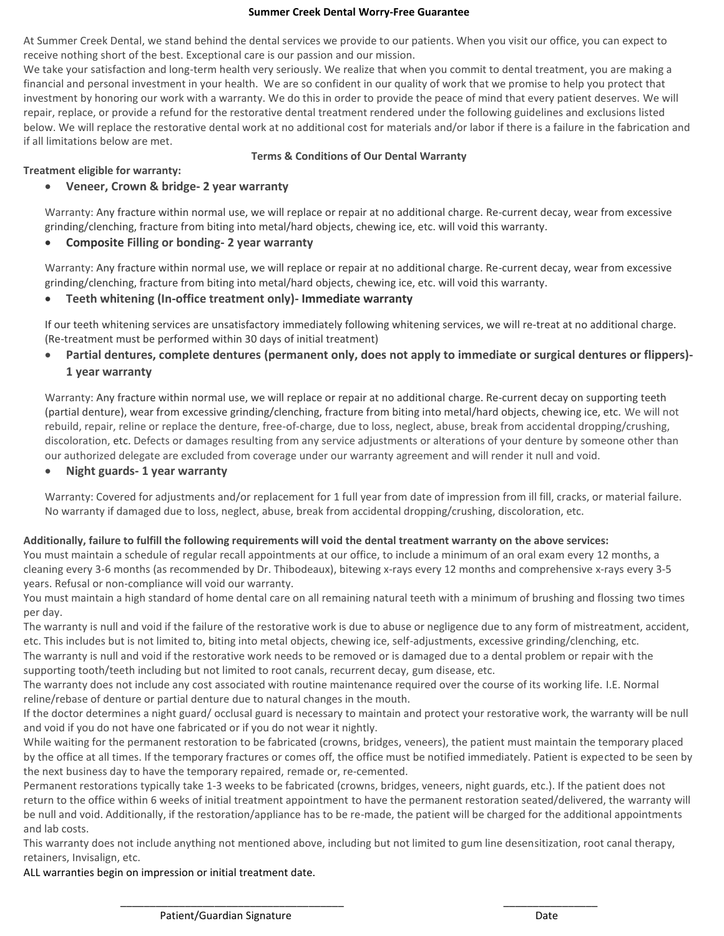#### **Summer Creek Dental Worry-Free Guarantee**

At Summer Creek Dental, we stand behind the dental services we provide to our patients. When you visit our office, you can expect to receive nothing short of the best. Exceptional care is our passion and our mission.

We take your satisfaction and long-term health very seriously. We realize that when you commit to dental treatment, you are making a financial and personal investment in your health. We are so confident in our quality of work that we promise to help you protect that investment by honoring our work with a warranty. We do this in order to provide the peace of mind that every patient deserves. We will repair, replace, or provide a refund for the restorative dental treatment rendered under the following guidelines and exclusions listed below. We will replace the restorative dental work at no additional cost for materials and/or labor if there is a failure in the fabrication and if all limitations below are met.

### **Terms & Conditions of Our Dental Warranty**

### **Treatment eligible for warranty:**

### • **Veneer, Crown & bridge- 2 year warranty**

Warranty: Any fracture within normal use, we will replace or repair at no additional charge. Re-current decay, wear from excessive grinding/clenching, fracture from biting into metal/hard objects, chewing ice, etc. will void this warranty.

### • **Composite Filling or bonding- 2 year warranty**

Warranty: Any fracture within normal use, we will replace or repair at no additional charge. Re-current decay, wear from excessive grinding/clenching, fracture from biting into metal/hard objects, chewing ice, etc. will void this warranty.

### • **Teeth whitening (In-office treatment only)- Immediate warranty**

If our teeth whitening services are unsatisfactory immediately following whitening services, we will re-treat at no additional charge. (Re-treatment must be performed within 30 days of initial treatment)

• **Partial dentures, complete dentures (permanent only, does not apply to immediate or surgical dentures or flippers)- 1 year warranty**

Warranty: Any fracture within normal use, we will replace or repair at no additional charge. Re-current decay on supporting teeth (partial denture), wear from excessive grinding/clenching, fracture from biting into metal/hard objects, chewing ice, etc. We will not rebuild, repair, reline or replace the denture, free-of-charge, due to loss, neglect, abuse, break from accidental dropping/crushing, discoloration, etc. Defects or damages resulting from any service adjustments or alterations of your denture by someone other than our authorized delegate are excluded from coverage under our warranty agreement and will render it null and void.

• **Night guards- 1 year warranty**

Warranty: Covered for adjustments and/or replacement for 1 full year from date of impression from ill fill, cracks, or material failure. No warranty if damaged due to loss, neglect, abuse, break from accidental dropping/crushing, discoloration, etc.

### **Additionally, failure to fulfill the following requirements will void the dental treatment warranty on the above services:**

You must maintain a schedule of regular recall appointments at our office, to include a minimum of an oral exam every 12 months, a cleaning every 3-6 months (as recommended by Dr. Thibodeaux), bitewing x-rays every 12 months and comprehensive x-rays every 3-5 years. Refusal or non-compliance will void our warranty.

You must maintain a high standard of home dental care on all remaining natural teeth with a minimum of brushing and flossing two times per day.

The warranty is null and void if the failure of the restorative work is due to abuse or negligence due to any form of mistreatment, accident, etc. This includes but is not limited to, biting into metal objects, chewing ice, self-adjustments, excessive grinding/clenching, etc. The warranty is null and void if the restorative work needs to be removed or is damaged due to a dental problem or repair with the

supporting tooth/teeth including but not limited to root canals, recurrent decay, gum disease, etc.

The warranty does not include any cost associated with routine maintenance required over the course of its working life. I.E. Normal reline/rebase of denture or partial denture due to natural changes in the mouth.

If the doctor determines a night guard/ occlusal guard is necessary to maintain and protect your restorative work, the warranty will be null and void if you do not have one fabricated or if you do not wear it nightly.

While waiting for the permanent restoration to be fabricated (crowns, bridges, veneers), the patient must maintain the temporary placed by the office at all times. If the temporary fractures or comes off, the office must be notified immediately. Patient is expected to be seen by the next business day to have the temporary repaired, remade or, re-cemented.

Permanent restorations typically take 1-3 weeks to be fabricated (crowns, bridges, veneers, night guards, etc.). If the patient does not return to the office within 6 weeks of initial treatment appointment to have the permanent restoration seated/delivered, the warranty will be null and void. Additionally, if the restoration/appliance has to be re-made, the patient will be charged for the additional appointments and lab costs.

\_\_\_\_\_\_\_\_\_\_\_\_\_\_\_\_\_\_\_\_\_\_\_\_\_\_\_\_\_\_\_\_\_\_\_\_\_\_ \_\_\_\_\_\_\_\_\_\_\_\_\_\_\_\_

This warranty does not include anything not mentioned above, including but not limited to gum line desensitization, root canal therapy, retainers, Invisalign, etc.

ALL warranties begin on impression or initial treatment date.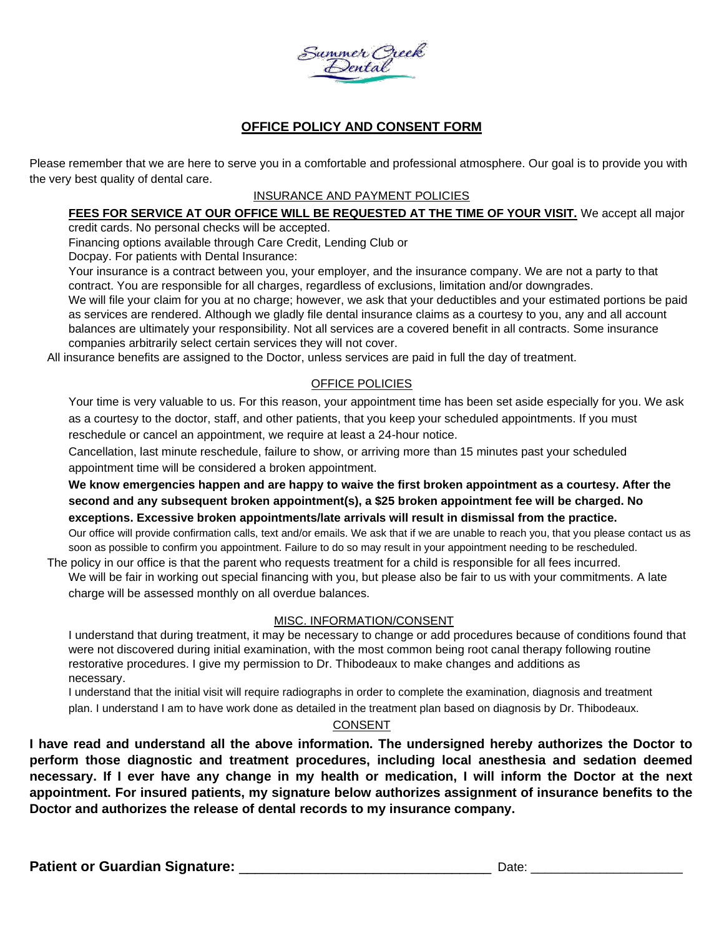

# **OFFICE POLICY AND CONSENT FORM**

Please remember that we are here to serve you in a comfortable and professional atmosphere. Our goal is to provide you with the very best quality of dental care.

### INSURANCE AND PAYMENT POLICIES

# **FEES FOR SERVICE AT OUR OFFICE WILL BE REQUESTED AT THE TIME OF YOUR VISIT.** We accept all major

credit cards. No personal checks will be accepted.

Financing options available through Care Credit, Lending Club or

Docpay. For patients with Dental Insurance:

Your insurance is a contract between you, your employer, and the insurance company. We are not a party to that contract. You are responsible for all charges, regardless of exclusions, limitation and/or downgrades.

We will file your claim for you at no charge; however, we ask that your deductibles and your estimated portions be paid as services are rendered. Although we gladly file dental insurance claims as a courtesy to you, any and all account balances are ultimately your responsibility. Not all services are a covered benefit in all contracts. Some insurance companies arbitrarily select certain services they will not cover.

All insurance benefits are assigned to the Doctor, unless services are paid in full the day of treatment.

### OFFICE POLICIES

Your time is very valuable to us. For this reason, your appointment time has been set aside especially for you. We ask as a courtesy to the doctor, staff, and other patients, that you keep your scheduled appointments. If you must reschedule or cancel an appointment, we require at least a 24-hour notice.

Cancellation, last minute reschedule, failure to show, or arriving more than 15 minutes past your scheduled appointment time will be considered a broken appointment.

**We know emergencies happen and are happy to waive the first broken appointment as a courtesy. After the second and any subsequent broken appointment(s), a \$25 broken appointment fee will be charged. No exceptions. Excessive broken appointments/late arrivals will result in dismissal from the practice.**

Our office will provide confirmation calls, text and/or emails. We ask that if we are unable to reach you, that you please contact us as soon as possible to confirm you appointment. Failure to do so may result in your appointment needing to be rescheduled.

The policy in our office is that the parent who requests treatment for a child is responsible for all fees incurred. We will be fair in working out special financing with you, but please also be fair to us with your commitments. A late charge will be assessed monthly on all overdue balances.

### MISC. INFORMATION/CONSENT

I understand that during treatment, it may be necessary to change or add procedures because of conditions found that were not discovered during initial examination, with the most common being root canal therapy following routine restorative procedures. I give my permission to Dr. Thibodeaux to make changes and additions as necessary.

I understand that the initial visit will require radiographs in order to complete the examination, diagnosis and treatment plan. I understand I am to have work done as detailed in the treatment plan based on diagnosis by Dr. Thibodeaux.

### **CONSENT**

**I have read and understand all the above information. The undersigned hereby authorizes the Doctor to perform those diagnostic and treatment procedures, including local anesthesia and sedation deemed necessary. If I ever have any change in my health or medication, I will inform the Doctor at the next appointment. For insured patients, my signature below authorizes assignment of insurance benefits to the Doctor and authorizes the release of dental records to my insurance company.**

**Patient or Guardian Signature:** \_\_\_\_\_\_\_\_\_\_\_\_\_\_\_\_\_\_\_\_\_\_\_\_\_\_\_\_\_\_\_\_ Date: \_\_\_\_\_\_\_\_\_\_\_\_\_\_\_\_\_\_\_\_\_\_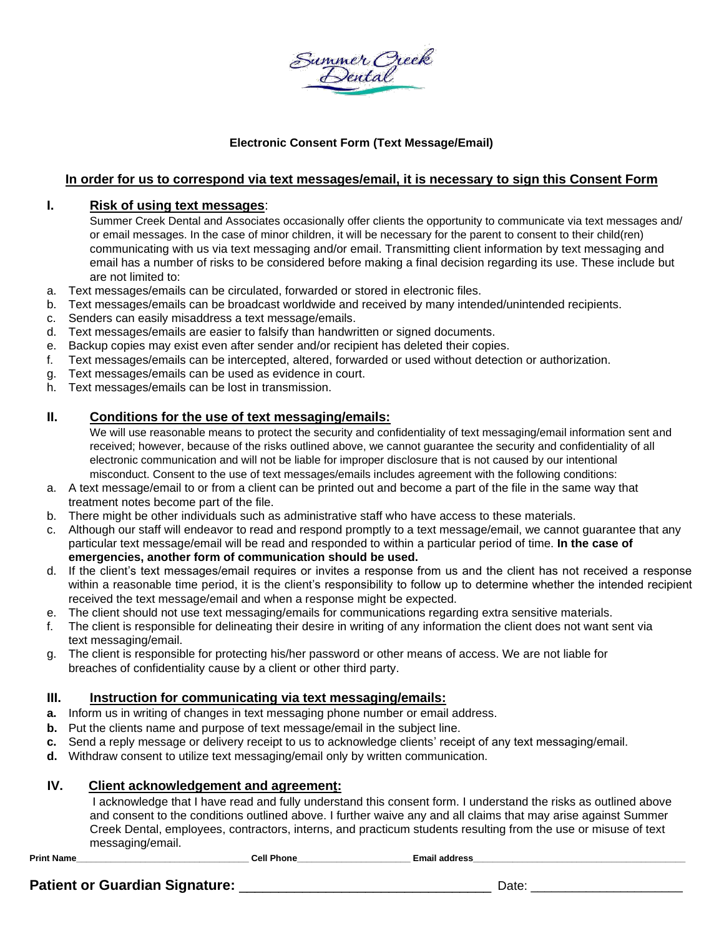Summer Creek<br>Dental

### **Electronic Consent Form (Text Message/Email)**

### **In order for us to correspond via text messages/email, it is necessary to sign this Consent Form**

### **I. Risk of using text messages**:

Summer Creek Dental and Associates occasionally offer clients the opportunity to communicate via text messages and/ or email messages. In the case of minor children, it will be necessary for the parent to consent to their child(ren) communicating with us via text messaging and/or email. Transmitting client information by text messaging and email has a number of risks to be considered before making a final decision regarding its use. These include but are not limited to:

- a. Text messages/emails can be circulated, forwarded or stored in electronic files.
- b. Text messages/emails can be broadcast worldwide and received by many intended/unintended recipients.
- c. Senders can easily misaddress a text message/emails.
- d. Text messages/emails are easier to falsify than handwritten or signed documents.
- e. Backup copies may exist even after sender and/or recipient has deleted their copies.
- f. Text messages/emails can be intercepted, altered, forwarded or used without detection or authorization.
- g. Text messages/emails can be used as evidence in court.
- h. Text messages/emails can be lost in transmission.

### **II. Conditions for the use of text messaging/emails:**

We will use reasonable means to protect the security and confidentiality of text messaging/email information sent and received; however, because of the risks outlined above, we cannot guarantee the security and confidentiality of all electronic communication and will not be liable for improper disclosure that is not caused by our intentional misconduct. Consent to the use of text messages/emails includes agreement with the following conditions:

- a. A text message/email to or from a client can be printed out and become a part of the file in the same way that treatment notes become part of the file.
- b. There might be other individuals such as administrative staff who have access to these materials.
- c. Although our staff will endeavor to read and respond promptly to a text message/email, we cannot guarantee that any particular text message/email will be read and responded to within a particular period of time. **In the case of emergencies, another form of communication should be used.**
- d. If the client's text messages/email requires or invites a response from us and the client has not received a response within a reasonable time period, it is the client's responsibility to follow up to determine whether the intended recipient received the text message/email and when a response might be expected.
- e. The client should not use text messaging/emails for communications regarding extra sensitive materials.
- f. The client is responsible for delineating their desire in writing of any information the client does not want sent via text messaging/email.
- g. The client is responsible for protecting his/her password or other means of access. We are not liable for breaches of confidentiality cause by a client or other third party.

### **III. Instruction for communicating via text messaging/emails:**

- **a.** Inform us in writing of changes in text messaging phone number or email address.
- **b.** Put the clients name and purpose of text message/email in the subject line.
- **c.** Send a reply message or delivery receipt to us to acknowledge clients' receipt of any text messaging/email.
- **d.** Withdraw consent to utilize text messaging/email only by written communication.

### **IV. Client acknowledgement and agreement:**

I acknowledge that I have read and fully understand this consent form. I understand the risks as outlined above and consent to the conditions outlined above. I further waive any and all claims that may arise against Summer Creek Dental, employees, contractors, interns, and practicum students resulting from the use or misuse of text messaging/email.

Print Name **Letter According the Cell Phone Cell Phone Cell Phone Email address** 

## **Patient or Guardian Signature:** \_\_\_\_\_\_\_\_\_\_\_\_\_\_\_\_\_\_\_\_\_\_\_\_\_\_\_\_\_\_\_\_ Date: \_\_\_\_\_\_\_\_\_\_\_\_\_\_\_\_\_\_\_\_\_\_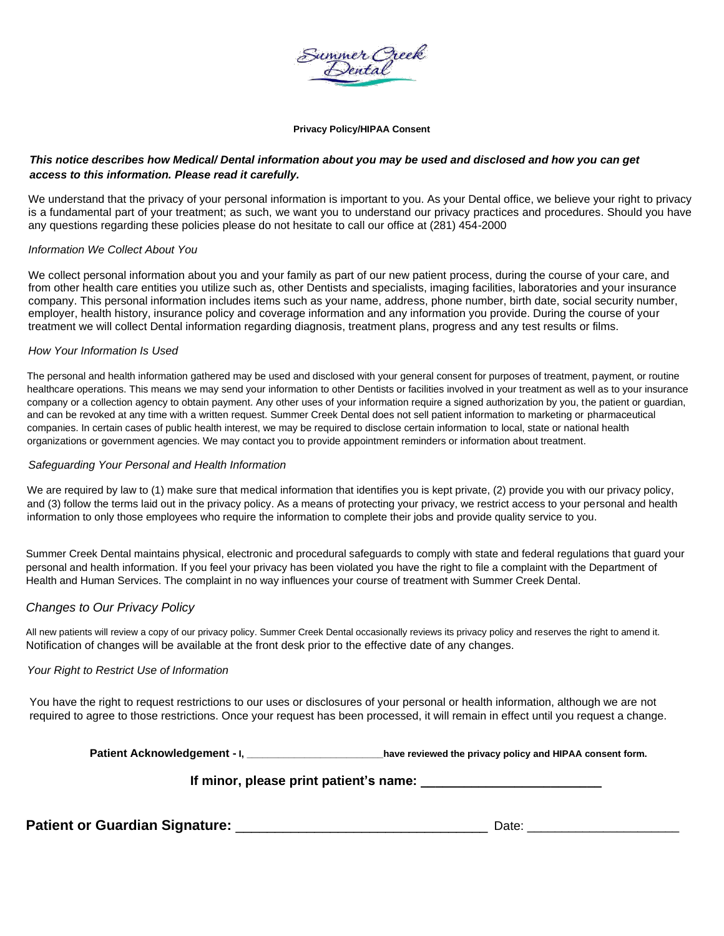

#### **Privacy Policy/HIPAA Consent**

### *This notice describes how Medical/ Dental information about you may be used and disclosed and how you can get access to this information. Please read it carefully.*

We understand that the privacy of your personal information is important to you. As your Dental office, we believe your right to privacy is a fundamental part of your treatment; as such, we want you to understand our privacy practices and procedures. Should you have any questions regarding these policies please do not hesitate to call our office at (281) 454-2000

#### *Information We Collect About You*

We collect personal information about you and your family as part of our new patient process, during the course of your care, and from other health care entities you utilize such as, other Dentists and specialists, imaging facilities, laboratories and your insurance company. This personal information includes items such as your name, address, phone number, birth date, social security number, employer, health history, insurance policy and coverage information and any information you provide. During the course of your treatment we will collect Dental information regarding diagnosis, treatment plans, progress and any test results or films.

#### *How Your Information Is Used*

The personal and health information gathered may be used and disclosed with your general consent for purposes of treatment, payment, or routine healthcare operations. This means we may send your information to other Dentists or facilities involved in your treatment as well as to your insurance company or a collection agency to obtain payment. Any other uses of your information require a signed authorization by you, the patient or guardian, and can be revoked at any time with a written request. Summer Creek Dental does not sell patient information to marketing or pharmaceutical companies. In certain cases of public health interest, we may be required to disclose certain information to local, state or national health organizations or government agencies. We may contact you to provide appointment reminders or information about treatment.

#### *Safeguarding Your Personal and Health Information*

We are required by law to (1) make sure that medical information that identifies you is kept private, (2) provide you with our privacy policy, and (3) follow the terms laid out in the privacy policy. As a means of protecting your privacy, we restrict access to your personal and health information to only those employees who require the information to complete their jobs and provide quality service to you.

Summer Creek Dental maintains physical, electronic and procedural safeguards to comply with state and federal regulations that guard your personal and health information. If you feel your privacy has been violated you have the right to file a complaint with the Department of Health and Human Services. The complaint in no way influences your course of treatment with Summer Creek Dental.

### *Changes to Our Privacy Policy*

All new patients will review a copy of our privacy policy. Summer Creek Dental occasionally reviews its privacy policy and reserves the right to amend it. Notification of changes will be available at the front desk prior to the effective date of any changes.

#### *Your Right to Restrict Use of Information*

You have the right to request restrictions to our uses or disclosures of your personal or health information, although we are not required to agree to those restrictions. Once your request has been processed, it will remain in effect until you request a change.

Patient Acknowledgement - I, \_\_\_\_\_\_\_\_\_\_\_\_\_\_\_\_\_\_\_\_\_\_\_\_\_\_\_have reviewed the privacy policy and HIPAA consent form.

**If minor, please print patient's name: \_\_\_\_\_\_\_\_\_\_\_\_\_\_\_\_\_\_\_\_\_\_\_\_\_**

**Patient or Guardian Signature:** \_\_\_\_\_\_\_\_\_\_\_\_\_\_\_\_\_\_\_\_\_\_\_\_\_\_\_\_\_\_\_\_ Date: \_\_\_\_\_\_\_\_\_\_\_\_\_\_\_\_\_\_\_\_\_\_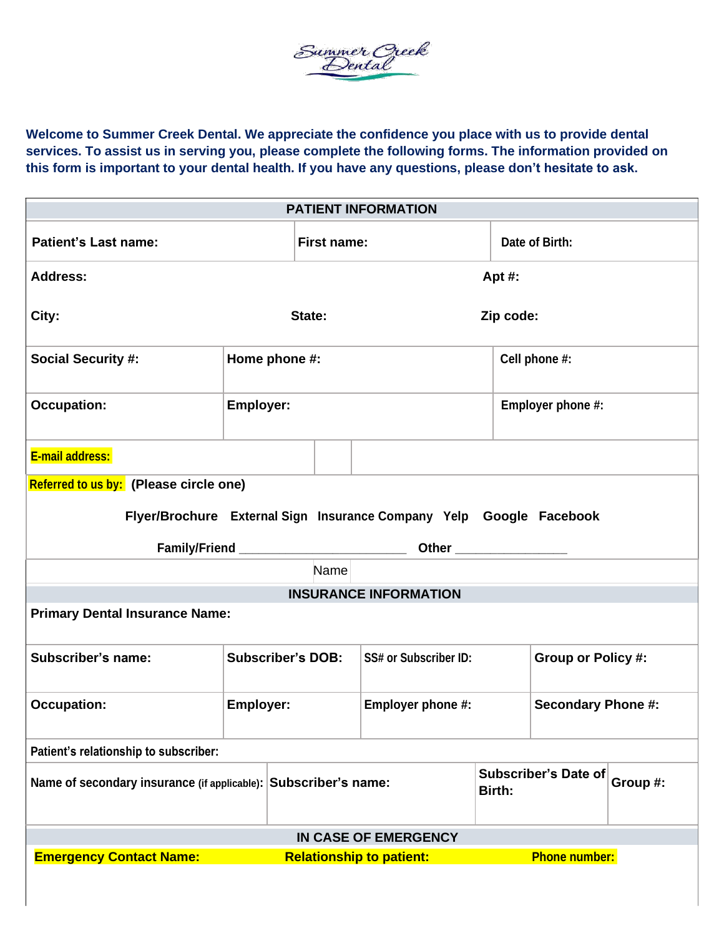Summer Oreek<br>Dental

**Welcome to Summer Creek Dental. We appreciate the confidence you place with us to provide dental services. To assist us in serving you, please complete the following forms. The information provided on this form is important to your dental health. If you have any questions, please don't hesitate to ask.**

| <b>PATIENT INFORMATION</b>                                                                |                          |                    |                              |                      |                           |  |
|-------------------------------------------------------------------------------------------|--------------------------|--------------------|------------------------------|----------------------|---------------------------|--|
| <b>Patient's Last name:</b>                                                               |                          | <b>First name:</b> |                              | Date of Birth:       |                           |  |
| <b>Address:</b>                                                                           |                          |                    | Apt $#$ :                    |                      |                           |  |
| City:                                                                                     |                          | State:             | Zip code:                    |                      |                           |  |
| <b>Social Security #:</b>                                                                 | Home phone #:            |                    |                              | Cell phone #:        |                           |  |
| <b>Occupation:</b>                                                                        | <b>Employer:</b>         |                    |                              | Employer phone #:    |                           |  |
| E-mail address:                                                                           |                          |                    |                              |                      |                           |  |
| Referred to us by: (Please circle one)                                                    |                          |                    |                              |                      |                           |  |
| Flyer/Brochure External Sign Insurance Company Yelp Google Facebook                       |                          |                    |                              |                      |                           |  |
|                                                                                           |                          |                    |                              |                      |                           |  |
|                                                                                           |                          |                    |                              |                      |                           |  |
| Name                                                                                      |                          |                    |                              |                      |                           |  |
| <b>INSURANCE INFORMATION</b>                                                              |                          |                    |                              |                      |                           |  |
| <b>Primary Dental Insurance Name:</b>                                                     |                          |                    |                              |                      |                           |  |
| Subscriber's name:                                                                        | <b>Subscriber's DOB:</b> |                    | <b>SS# or Subscriber ID:</b> |                      | <b>Group or Policy #:</b> |  |
| <b>Occupation:</b>                                                                        | Employer:                |                    | Employer phone #:            |                      | <b>Secondary Phone #:</b> |  |
| Patient's relationship to subscriber:                                                     |                          |                    |                              |                      |                           |  |
| Name of secondary insurance (if applicable): Subscriber's name:                           |                          | Birth:             |                              | Subscriber's Date of | Group #:                  |  |
| IN CASE OF EMERGENCY                                                                      |                          |                    |                              |                      |                           |  |
| <b>Emergency Contact Name:</b><br><b>Phone number:</b><br><b>Relationship to patient:</b> |                          |                    |                              |                      |                           |  |
|                                                                                           |                          |                    |                              |                      |                           |  |